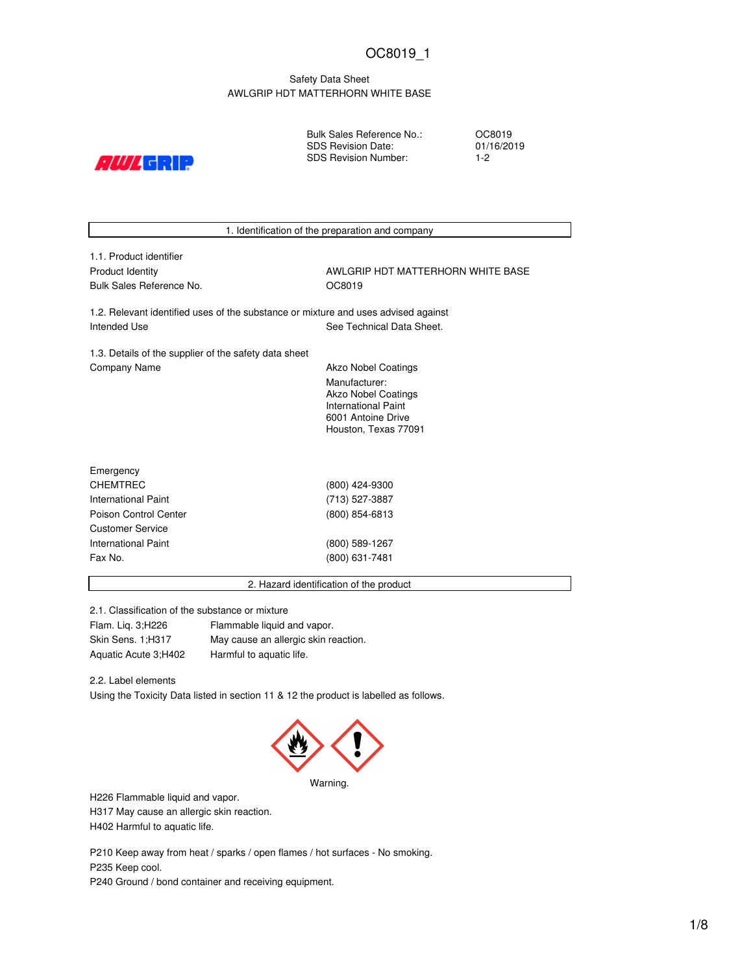## Safety Data Sheet AWLGRIP HDT MATTERHORN WHITE BASE

 $\mathcal{L}/\mathcal{W}/\mathcal{L}$  call  $\mathcal{D}$ 

Bulk Sales Reference No.: SDS Revision Date: SDS Revision Number:

OC8019 01/16/2019 1-2

1. Identification of the preparation and company 1.1. Product identifier Product Identity **AWLGRIP HDT MATTERHORN WHITE BASE** Bulk Sales Reference No. 66 and 19 and 19 and 19 and 19 and 19 and 19 and 19 and 19 and 19 and 19 and 19 and 1 1.2. Relevant identified uses of the substance or mixture and uses advised against Intended Use **See Technical Data Sheet.** See Technical Data Sheet. 1.3. Details of the supplier of the safety data sheet Company Name **Akzo Nobel Coatings** Company Name Manufacturer: Akzo Nobel Coatings International Paint 6001 Antoine Drive Houston, Texas 77091 Emergency CHEMTREC (800) 424-9300 International Paint (713) 527-3887 Poison Control Center (800) 854-6813 Customer Service International Paint (800) 589-1267 Fax No. (800) 631-7481 2. Hazard identification of the product

2.1. Classification of the substance or mixture

Flam. Liq. 3;H226 Flammable liquid and vapor. Skin Sens. 1;H317 May cause an allergic skin reaction. Aquatic Acute 3;H402 Harmful to aquatic life.

2.2. Label elements

Using the Toxicity Data listed in section 11 & 12 the product is labelled as follows.



H226 Flammable liquid and vapor.

H317 May cause an allergic skin reaction. H402 Harmful to aquatic life.

P210 Keep away from heat / sparks / open flames / hot surfaces - No smoking. P235 Keep cool.

P240 Ground / bond container and receiving equipment.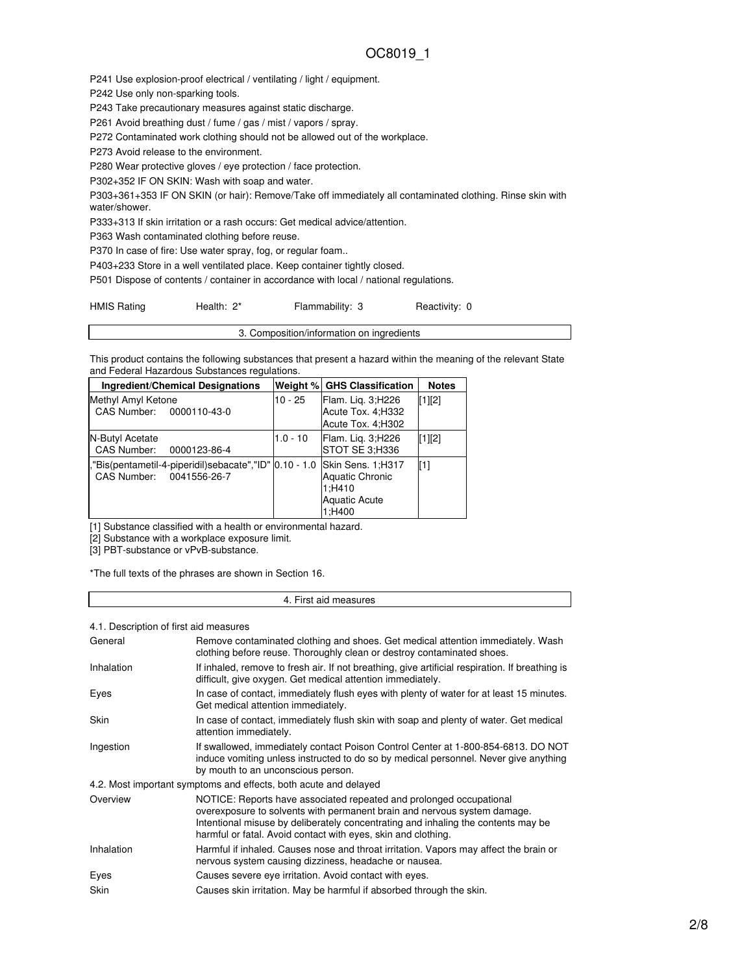P241 Use explosion-proof electrical / ventilating / light / equipment.

P242 Use only non-sparking tools.

P243 Take precautionary measures against static discharge.

P261 Avoid breathing dust / fume / gas / mist / vapors / spray.

P272 Contaminated work clothing should not be allowed out of the workplace.

P273 Avoid release to the environment.

P280 Wear protective gloves / eye protection / face protection.

P302+352 IF ON SKIN: Wash with soap and water.

P303+361+353 IF ON SKIN (or hair): Remove/Take off immediately all contaminated clothing. Rinse skin with water/shower.

P333+313 If skin irritation or a rash occurs: Get medical advice/attention.

P363 Wash contaminated clothing before reuse.

P370 In case of fire: Use water spray, fog, or regular foam..

P403+233 Store in a well ventilated place. Keep container tightly closed.

P501 Dispose of contents / container in accordance with local / national regulations.

HMIS Rating **Health: 2\*** Flammability: 3 Reactivity: 0

This product contains the following substances that present a hazard within the meaning of the relevant State and Federal Hazardous Substances regulations.

3. Composition/information on ingredients

| <b>Ingredient/Chemical Designations</b>                                            |            | Weight % GHS Classification                                                      | <b>Notes</b> |
|------------------------------------------------------------------------------------|------------|----------------------------------------------------------------------------------|--------------|
| Methyl Amyl Ketone<br>CAS Number: 0000110-43-0                                     | $10 - 25$  | Flam. Lig. 3;H226<br>Acute Tox. 4; H332<br>Acute Tox. 4: H302                    | $[1]$ [2]    |
| N-Butyl Acetate<br>CAS Number: 0000123-86-4                                        | $1.0 - 10$ | Flam. Lig. 3; H226<br>STOT SE 3:H336                                             | $[1]$ [2]    |
| ,"Bis(pentametil-4-piperidil)sebacate","ID" 0.10 - 1.0<br>CAS Number: 0041556-26-7 |            | Skin Sens. 1;H317<br>Aquatic Chronic<br>1:H410<br><b>Aquatic Acute</b><br>1:H400 | [1]          |

[1] Substance classified with a health or environmental hazard.

[2] Substance with a workplace exposure limit.

[3] PBT-substance or vPvB-substance.

\*The full texts of the phrases are shown in Section 16.

#### 4. First aid measures

4.1. Description of first aid measures

| General    | Remove contaminated clothing and shoes. Get medical attention immediately. Wash<br>clothing before reuse. Thoroughly clean or destroy contaminated shoes.                                                                                                                                             |
|------------|-------------------------------------------------------------------------------------------------------------------------------------------------------------------------------------------------------------------------------------------------------------------------------------------------------|
| Inhalation | If inhaled, remove to fresh air. If not breathing, give artificial respiration. If breathing is<br>difficult, give oxygen. Get medical attention immediately.                                                                                                                                         |
| Eyes       | In case of contact, immediately flush eyes with plenty of water for at least 15 minutes.<br>Get medical attention immediately.                                                                                                                                                                        |
| Skin       | In case of contact, immediately flush skin with soap and plenty of water. Get medical<br>attention immediately.                                                                                                                                                                                       |
| Ingestion  | If swallowed, immediately contact Poison Control Center at 1-800-854-6813. DO NOT<br>induce vomiting unless instructed to do so by medical personnel. Never give anything<br>by mouth to an unconscious person.                                                                                       |
|            | 4.2. Most important symptoms and effects, both acute and delayed                                                                                                                                                                                                                                      |
| Overview   | NOTICE: Reports have associated repeated and prolonged occupational<br>overexposure to solvents with permanent brain and nervous system damage.<br>Intentional misuse by deliberately concentrating and inhaling the contents may be<br>harmful or fatal. Avoid contact with eyes, skin and clothing. |
| Inhalation | Harmful if inhaled. Causes nose and throat irritation. Vapors may affect the brain or<br>nervous system causing dizziness, headache or nausea.                                                                                                                                                        |
| Eyes       | Causes severe eye irritation. Avoid contact with eyes.                                                                                                                                                                                                                                                |
| Skin       | Causes skin irritation. May be harmful if absorbed through the skin.                                                                                                                                                                                                                                  |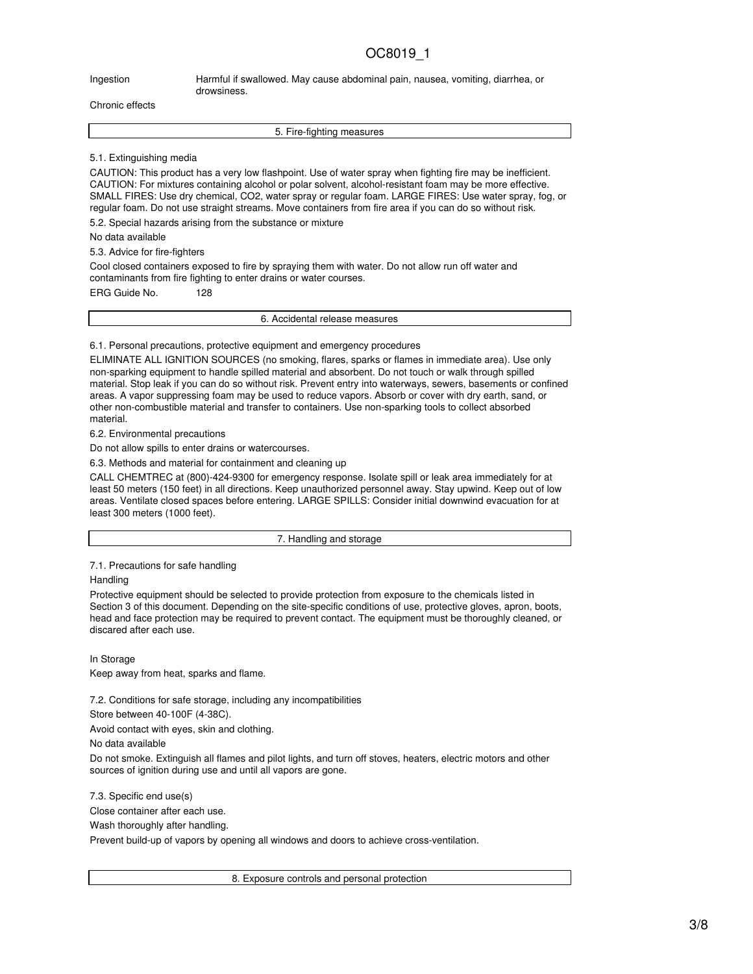Ingestion **Harmful if swallowed. May cause abdominal pain**, nausea, vomiting, diarrhea, or drowsiness.

Chronic effects

5. Fire-fighting measures

5.1. Extinguishing media

CAUTION: This product has a very low flashpoint. Use of water spray when fighting fire may be inefficient. CAUTION: For mixtures containing alcohol or polar solvent, alcohol-resistant foam may be more effective. SMALL FIRES: Use dry chemical, CO2, water spray or regular foam. LARGE FIRES: Use water spray, fog, or regular foam. Do not use straight streams. Move containers from fire area if you can do so without risk.

5.2. Special hazards arising from the substance or mixture

No data available

5.3. Advice for fire-fighters

Cool closed containers exposed to fire by spraying them with water. Do not allow run off water and contaminants from fire fighting to enter drains or water courses.

ERG Guide No. 128

6. Accidental release measures

6.1. Personal precautions, protective equipment and emergency procedures

ELIMINATE ALL IGNITION SOURCES (no smoking, flares, sparks or flames in immediate area). Use only non-sparking equipment to handle spilled material and absorbent. Do not touch or walk through spilled material. Stop leak if you can do so without risk. Prevent entry into waterways, sewers, basements or confined areas. A vapor suppressing foam may be used to reduce vapors. Absorb or cover with dry earth, sand, or other non-combustible material and transfer to containers. Use non-sparking tools to collect absorbed material.

6.2. Environmental precautions

Do not allow spills to enter drains or watercourses.

6.3. Methods and material for containment and cleaning up

CALL CHEMTREC at (800)-424-9300 for emergency response. Isolate spill or leak area immediately for at least 50 meters (150 feet) in all directions. Keep unauthorized personnel away. Stay upwind. Keep out of low areas. Ventilate closed spaces before entering. LARGE SPILLS: Consider initial downwind evacuation for at least 300 meters (1000 feet).

7. Handling and storage

7.1. Precautions for safe handling

**Handling** 

Protective equipment should be selected to provide protection from exposure to the chemicals listed in Section 3 of this document. Depending on the site-specific conditions of use, protective gloves, apron, boots, head and face protection may be required to prevent contact. The equipment must be thoroughly cleaned, or discared after each use.

In Storage Keep away from heat, sparks and flame.

7.2. Conditions for safe storage, including any incompatibilities

Store between 40-100F (4-38C).

Avoid contact with eyes, skin and clothing.

No data available

Do not smoke. Extinguish all flames and pilot lights, and turn off stoves, heaters, electric motors and other sources of ignition during use and until all vapors are gone.

7.3. Specific end use(s) Close container after each use. Wash thoroughly after handling. Prevent build-up of vapors by opening all windows and doors to achieve cross-ventilation.

8. Exposure controls and personal protection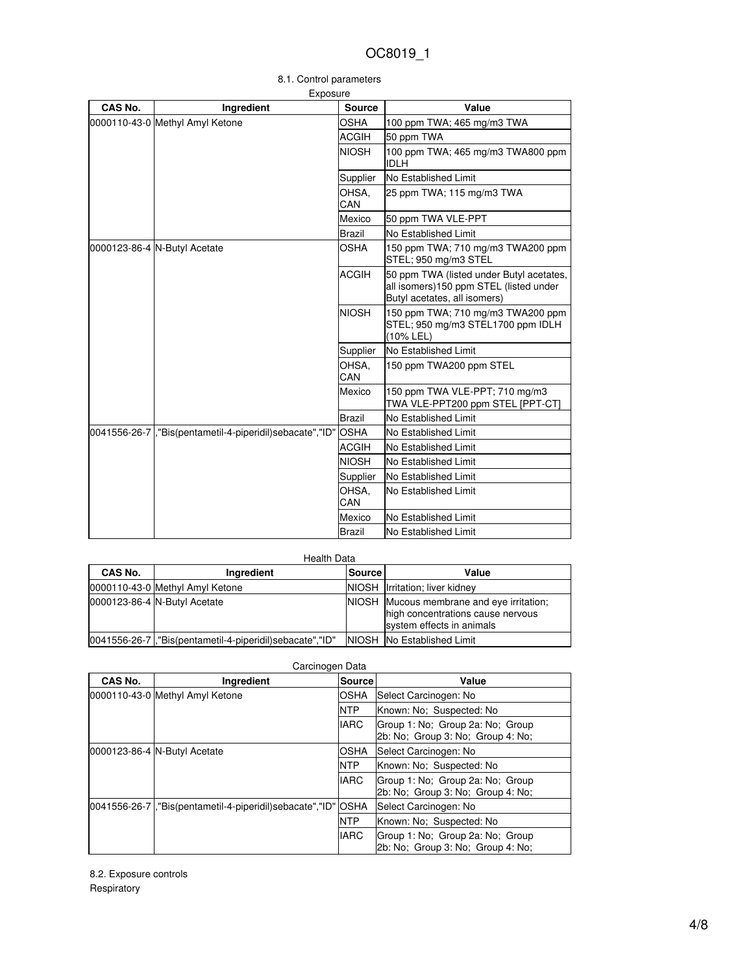| Exposure |                                                          |               |                                                                                                                    |  |
|----------|----------------------------------------------------------|---------------|--------------------------------------------------------------------------------------------------------------------|--|
| CAS No.  | Ingredient                                               | <b>Source</b> | Value                                                                                                              |  |
|          | 0000110-43-0 Methyl Amyl Ketone                          | OSHA          | 100 ppm TWA; 465 mg/m3 TWA                                                                                         |  |
|          |                                                          | <b>ACGIH</b>  | 50 ppm TWA                                                                                                         |  |
|          |                                                          | <b>NIOSH</b>  | 100 ppm TWA; 465 mg/m3 TWA800 ppm<br><b>IDLH</b>                                                                   |  |
|          |                                                          | Supplier      | No Established Limit                                                                                               |  |
|          |                                                          | OHSA.<br>CAN  | 25 ppm TWA; 115 mg/m3 TWA                                                                                          |  |
|          |                                                          | Mexico        | 50 ppm TWA VLE-PPT                                                                                                 |  |
|          |                                                          | Brazil        | No Established Limit                                                                                               |  |
|          | 0000123-86-4 N-Butyl Acetate                             | <b>OSHA</b>   | 150 ppm TWA; 710 mg/m3 TWA200 ppm<br>STEL; 950 mg/m3 STEL                                                          |  |
|          |                                                          | <b>ACGIH</b>  | 50 ppm TWA (listed under Butyl acetates,<br>all isomers)150 ppm STEL (listed under<br>Butyl acetates, all isomers) |  |
|          |                                                          | <b>NIOSH</b>  | 150 ppm TWA; 710 mg/m3 TWA200 ppm<br>STEL; 950 mg/m3 STEL1700 ppm IDLH<br>(10% LEL)                                |  |
|          |                                                          | Supplier      | No Established Limit                                                                                               |  |
|          |                                                          | OHSA.<br>CAN  | 150 ppm TWA200 ppm STEL                                                                                            |  |
|          |                                                          | Mexico        | 150 ppm TWA VLE-PPT; 710 mg/m3<br>TWA VLE-PPT200 ppm STEL [PPT-CT]                                                 |  |
|          |                                                          | <b>Brazil</b> | No Established Limit                                                                                               |  |
|          | 0041556-26-7, Bis(pentametil-4-piperidil)sebacate", "ID" | <b>OSHA</b>   | <b>INo Established Limit</b>                                                                                       |  |
|          |                                                          | ACGIH         | No Established Limit                                                                                               |  |
|          |                                                          | <b>NIOSH</b>  | <b>INo Established Limit</b>                                                                                       |  |
|          |                                                          | Supplier      | No Established Limit                                                                                               |  |
|          |                                                          | OHSA.<br>CAN  | <b>INo Established Limit</b>                                                                                       |  |
|          |                                                          | Mexico        | No Established Limit                                                                                               |  |
|          |                                                          | Brazil        | No Established Limit                                                                                               |  |

|  | 8.1. Control parameters |
|--|-------------------------|
|  |                         |

| Health Data |                                                           |               |                                                                                                             |  |
|-------------|-----------------------------------------------------------|---------------|-------------------------------------------------------------------------------------------------------------|--|
| CAS No.     | Ingredient                                                | <b>Source</b> | Value                                                                                                       |  |
|             | 0000110-43-0 Methyl Amyl Ketone                           |               | NIOSH Irritation; liver kidney                                                                              |  |
|             | 0000123-86-4 N-Butyl Acetate                              |               | NIOSH Mucous membrane and eye irritation;<br>high concentrations cause nervous<br>system effects in animals |  |
|             | 0041556-26-7  ,"Bis(pentametil-4-piperidil)sebacate","ID" |               | NIOSH No Established Limit                                                                                  |  |

| CAS No. | Ingredient                                                                 | Source      | Value                                                                 |
|---------|----------------------------------------------------------------------------|-------------|-----------------------------------------------------------------------|
|         | 0000110-43-0 Methyl Amyl Ketone                                            | OSHA        | Select Carcinogen: No                                                 |
|         |                                                                            | <b>NTP</b>  | Known: No: Suspected: No                                              |
|         |                                                                            | <b>IARC</b> | Group 1: No: Group 2a: No: Group<br>2b: No; Group 3: No; Group 4: No; |
|         | 0000123-86-4 N-Butyl Acetate                                               | OSHA        | Select Carcinogen: No                                                 |
|         |                                                                            | <b>NTP</b>  | Known: No: Suspected: No                                              |
|         |                                                                            | <b>IARC</b> | Group 1: No: Group 2a: No: Group<br>2b: No: Group 3: No: Group 4: No: |
|         | 0041556-26-7   "Bis(pentametil-4-piperidil) sebacate", "ID"<br><b>OSHA</b> |             | Select Carcinogen: No                                                 |
|         |                                                                            | <b>NTP</b>  | Known: No: Suspected: No                                              |
|         |                                                                            | <b>IARC</b> | Group 1: No: Group 2a: No: Group<br>2b: No; Group 3: No; Group 4: No; |

Carcinogen Data

8.2. Exposure controls Respiratory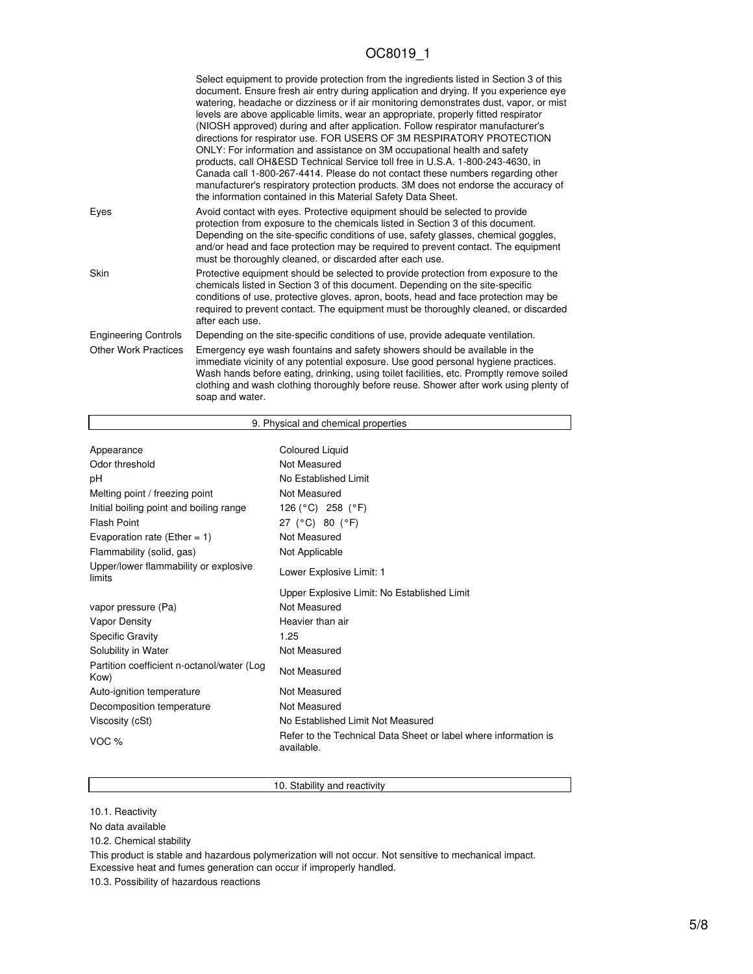|                             | Select equipment to provide protection from the ingredients listed in Section 3 of this<br>document. Ensure fresh air entry during application and drying. If you experience eye<br>watering, headache or dizziness or if air monitoring demonstrates dust, vapor, or mist<br>levels are above applicable limits, wear an appropriate, properly fitted respirator<br>(NIOSH approved) during and after application. Follow respirator manufacturer's<br>directions for respirator use. FOR USERS OF 3M RESPIRATORY PROTECTION<br>ONLY: For information and assistance on 3M occupational health and safety<br>products, call OH&ESD Technical Service toll free in U.S.A. 1-800-243-4630, in<br>Canada call 1-800-267-4414. Please do not contact these numbers regarding other<br>manufacturer's respiratory protection products. 3M does not endorse the accuracy of<br>the information contained in this Material Safety Data Sheet. |
|-----------------------------|-----------------------------------------------------------------------------------------------------------------------------------------------------------------------------------------------------------------------------------------------------------------------------------------------------------------------------------------------------------------------------------------------------------------------------------------------------------------------------------------------------------------------------------------------------------------------------------------------------------------------------------------------------------------------------------------------------------------------------------------------------------------------------------------------------------------------------------------------------------------------------------------------------------------------------------------|
| Eyes                        | Avoid contact with eyes. Protective equipment should be selected to provide<br>protection from exposure to the chemicals listed in Section 3 of this document.<br>Depending on the site-specific conditions of use, safety glasses, chemical goggles,<br>and/or head and face protection may be required to prevent contact. The equipment<br>must be thoroughly cleaned, or discarded after each use.                                                                                                                                                                                                                                                                                                                                                                                                                                                                                                                                  |
| Skin                        | Protective equipment should be selected to provide protection from exposure to the<br>chemicals listed in Section 3 of this document. Depending on the site-specific<br>conditions of use, protective gloves, apron, boots, head and face protection may be<br>required to prevent contact. The equipment must be thoroughly cleaned, or discarded<br>after each use.                                                                                                                                                                                                                                                                                                                                                                                                                                                                                                                                                                   |
| <b>Engineering Controls</b> | Depending on the site-specific conditions of use, provide adequate ventilation.                                                                                                                                                                                                                                                                                                                                                                                                                                                                                                                                                                                                                                                                                                                                                                                                                                                         |
| <b>Other Work Practices</b> | Emergency eye wash fountains and safety showers should be available in the<br>immediate vicinity of any potential exposure. Use good personal hygiene practices.<br>Wash hands before eating, drinking, using toilet facilities, etc. Promptly remove soiled<br>clothing and wash clothing thoroughly before reuse. Shower after work using plenty of<br>soap and water.                                                                                                                                                                                                                                                                                                                                                                                                                                                                                                                                                                |

|                                                    | 9. Physical and chemical properties                                           |
|----------------------------------------------------|-------------------------------------------------------------------------------|
|                                                    |                                                                               |
| Appearance                                         | Coloured Liquid                                                               |
| Odor threshold                                     | Not Measured                                                                  |
| рH                                                 | No Established Limit                                                          |
| Melting point / freezing point                     | Not Measured                                                                  |
| Initial boiling point and boiling range            | 126 (°C) 258 (°F)                                                             |
| <b>Flash Point</b>                                 | 27 (°C) 80 (°F)                                                               |
| Evaporation rate (Ether = $1$ )                    | Not Measured                                                                  |
| Flammability (solid, gas)                          | Not Applicable                                                                |
| Upper/lower flammability or explosive<br>limits    | Lower Explosive Limit: 1                                                      |
|                                                    | Upper Explosive Limit: No Established Limit                                   |
| vapor pressure (Pa)                                | Not Measured                                                                  |
| <b>Vapor Density</b>                               | Heavier than air                                                              |
| <b>Specific Gravity</b>                            | 1.25                                                                          |
| Solubility in Water                                | Not Measured                                                                  |
| Partition coefficient n-octanol/water (Log<br>Kow) | Not Measured                                                                  |
| Auto-ignition temperature                          | Not Measured                                                                  |
| Decomposition temperature                          | Not Measured                                                                  |
| Viscosity (cSt)                                    | No Established Limit Not Measured                                             |
| VOC %                                              | Refer to the Technical Data Sheet or label where information is<br>available. |

### 10. Stability and reactivity

10.1. Reactivity

Г

No data available

10.2. Chemical stability

This product is stable and hazardous polymerization will not occur. Not sensitive to mechanical impact. Excessive heat and fumes generation can occur if improperly handled.

10.3. Possibility of hazardous reactions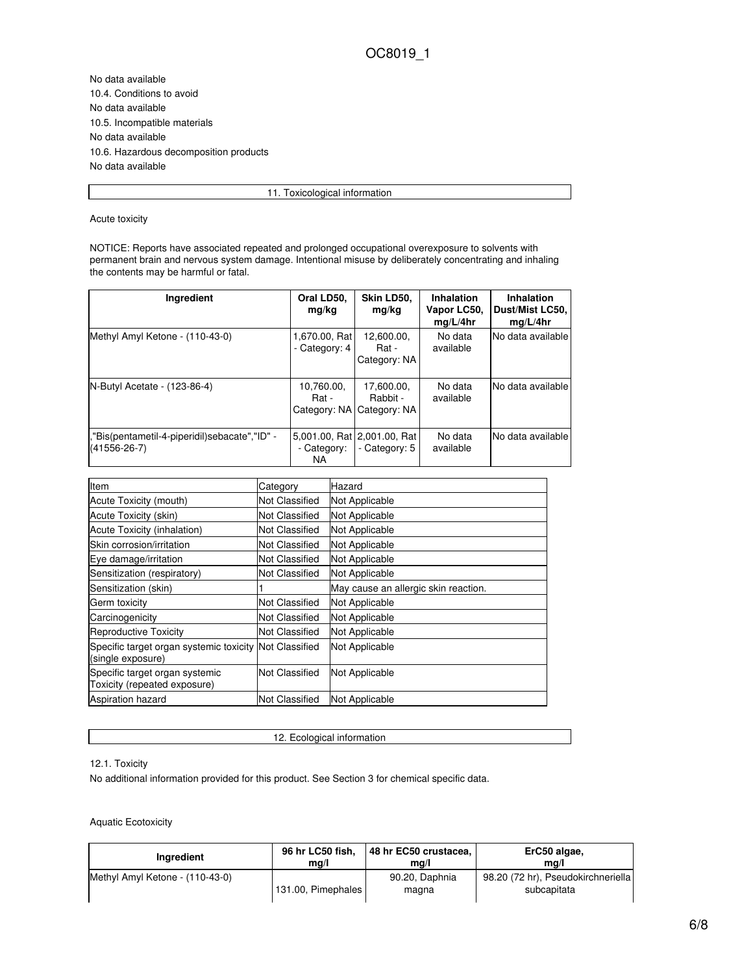No data available 10.4. Conditions to avoid No data available 10.5. Incompatible materials No data available 10.6. Hazardous decomposition products No data available

11. Toxicological information

Acute toxicity

NOTICE: Reports have associated repeated and prolonged occupational overexposure to solvents with permanent brain and nervous system damage. Intentional misuse by deliberately concentrating and inhaling the contents may be harmful or fatal.

| Ingredient                                                            | Oral LD50,<br>mg/kg                                | Skin LD50,<br>mg/kg                    | Inhalation<br>Vapor LC50,<br>mq/L/4hr | <b>Inhalation</b><br>Dust/Mist LC50,<br>mq/L/4hr |
|-----------------------------------------------------------------------|----------------------------------------------------|----------------------------------------|---------------------------------------|--------------------------------------------------|
| Methyl Amyl Ketone - (110-43-0)                                       | 1,670.00, Rat<br>- Category: 4                     | 12,600.00,<br>Rat -<br>Category: NA    | No data<br>available                  | No data available                                |
| N-Butyl Acetate - (123-86-4)                                          | 10,760.00,<br>Rat -<br>Category: NA                | 17,600.00,<br>Rabbit -<br>Category: NA | No data<br>available                  | No data available                                |
| , "Bis(pentametil-4-piperidil)sebacate", "ID" -<br>$(41556 - 26 - 7)$ | 15,001.00, Rat12,001.00, Rat<br>- Category:<br>NA. | - Category: 5                          | No data<br>available                  | No data available                                |

| Item                                                                        | Category              | Hazard                               |
|-----------------------------------------------------------------------------|-----------------------|--------------------------------------|
| Acute Toxicity (mouth)                                                      | Not Classified        | Not Applicable                       |
| Acute Toxicity (skin)                                                       | Not Classified        | Not Applicable                       |
| Acute Toxicity (inhalation)                                                 | Not Classified        | Not Applicable                       |
| Skin corrosion/irritation                                                   | Not Classified        | Not Applicable                       |
| Eye damage/irritation                                                       | Not Classified        | Not Applicable                       |
| Sensitization (respiratory)                                                 | Not Classified        | Not Applicable                       |
| Sensitization (skin)                                                        |                       | May cause an allergic skin reaction. |
| Germ toxicity                                                               | <b>Not Classified</b> | Not Applicable                       |
| Carcinogenicity                                                             | Not Classified        | Not Applicable                       |
| <b>Reproductive Toxicity</b>                                                | <b>Not Classified</b> | Not Applicable                       |
| Specific target organ systemic toxicity Not Classified<br>(single exposure) |                       | Not Applicable                       |
| Specific target organ systemic<br>Toxicity (repeated exposure)              | <b>Not Classified</b> | Not Applicable                       |
| <b>Aspiration hazard</b>                                                    | <b>Not Classified</b> | Not Applicable                       |

12. Ecological information

12.1. Toxicity

No additional information provided for this product. See Section 3 for chemical specific data.

Aquatic Ecotoxicity

| Ingredient                      | 96 hr LC50 fish,   | 48 hr EC50 crustacea,   | ErC50 algae,                                      |
|---------------------------------|--------------------|-------------------------|---------------------------------------------------|
|                                 | mq/l               | ma/l                    | ma/l                                              |
| Methyl Amyl Ketone - (110-43-0) | 131.00, Pimephales | 90.20, Daphnia<br>magna | 98.20 (72 hr), Pseudokirchneriella<br>subcapitata |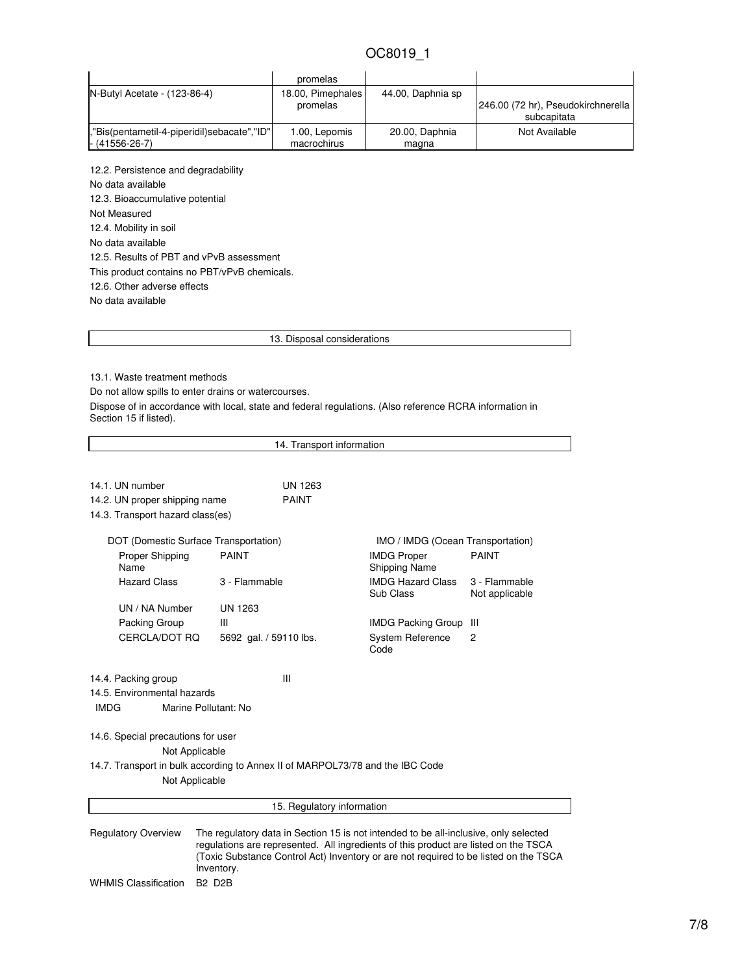|                                            | promelas                      |                   |                                    |
|--------------------------------------------|-------------------------------|-------------------|------------------------------------|
| N-Butyl Acetate - (123-86-4)               | 18.00, Pimephales<br>promelas | 44.00, Daphnia sp | 246.00 (72 hr), Pseudokirchnerella |
|                                            |                               |                   | subcapitata                        |
| "Bis(pentametil-4-piperidil)sebacate","ID" | 1.00, Lepomis                 | 20.00, Daphnia    | Not Available                      |
| $- (41556 - 26 - 7)$                       | macrochirus                   | magna             |                                    |

12.2. Persistence and degradability No data available 12.3. Bioaccumulative potential Not Measured 12.4. Mobility in soil No data available 12.5. Results of PBT and vPvB assessment This product contains no PBT/vPvB chemicals. 12.6. Other adverse effects No data available

13. Disposal considerations

13.1. Waste treatment methods

Do not allow spills to enter drains or watercourses.

Dispose of in accordance with local, state and federal regulations. (Also reference RCRA information in Section 15 if listed).

14. Transport information 14.1. UN number UN 1263 14.2. UN proper shipping name PAINT 14.3. Transport hazard class(es) DOT (Domestic Surface Transportation) IMO / IMDG (Ocean Transportation) Proper Shipping Name PAINT **IMDG** Proper Shipping Name PAINT Hazard Class 3 - Flammable IMDG Hazard Class Sub Class 3 - Flammable Not applicable UN / NA Number UN 1263 Packing Group III II II II IMDG Packing Group III CERCLA/DOT RQ 5692 gal. / 59110 lbs. System Reference Code 2 14.4. Packing group III 14.5. Environmental hazards IMDG Marine Pollutant: No 14.6. Special precautions for user Not Applicable 14.7. Transport in bulk according to Annex II of MARPOL73/78 and the IBC Code Not Applicable 15. Regulatory information Regulatory Overview The regulatory data in Section 15 is not intended to be all-inclusive, only selected regulations are represented. All ingredients of this product are listed on the TSCA (Toxic Substance Control Act) Inventory or are not required to be listed on the TSCA Inventory. WHMIS Classification B2 D2B